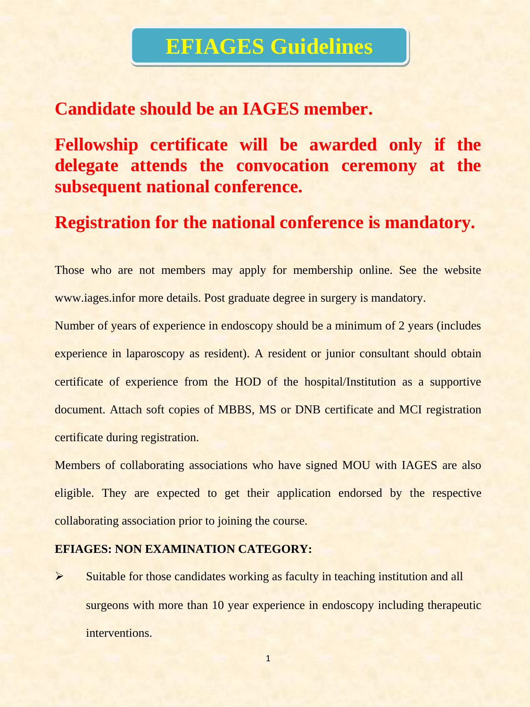# **EFIAGES Guidelines**

## **Candidate should be an IAGES member.**

**Fellowship certificate will be awarded only if the delegate attends the convocation ceremony at the subsequent national conference.**

**Registration for the national conference is mandatory.**

Those who are not members may apply for membership online. See the website www.iages.infor more details. Post graduate degree in surgery is mandatory.

Number of years of experience in endoscopy should be a minimum of 2 years (includes experience in laparoscopy as resident). A resident or junior consultant should obtain certificate of experience from the HOD of the hospital/Institution as a supportive document. Attach soft copies of MBBS, MS or DNB certificate and MCI registration certificate during registration.

Members of collaborating associations who have signed MOU with IAGES are also eligible. They are expected to get their application endorsed by the respective collaborating association prior to joining the course.

#### **EFIAGES: NON EXAMINATION CATEGORY:**

 $\triangleright$  Suitable for those candidates working as faculty in teaching institution and all surgeons with more than 10 year experience in endoscopy including therapeutic interventions.

1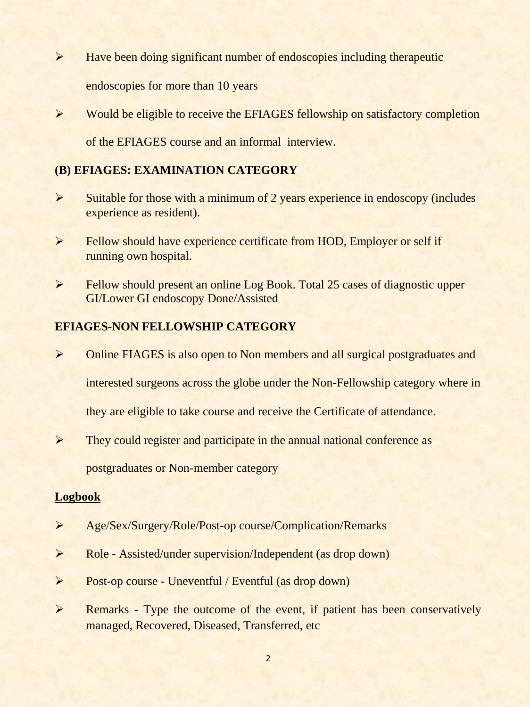- $\triangleright$  Have been doing significant number of endoscopies including therapeutic endoscopies for more than 10 years
- $\triangleright$  Would be eligible to receive the EFIAGES fellowship on satisfactory completion of the EFIAGES course and an informal interview.

### **(B) EFIAGES: EXAMINATION CATEGORY**

- $\triangleright$  Suitable for those with a minimum of 2 years experience in endoscopy (includes experience as resident).
- Fellow should have experience certificate from HOD, Employer or self if running own hospital.
- Fellow should present an online Log Book. Total 25 cases of diagnostic upper GI/Lower GI endoscopy Done/Assisted

#### **EFIAGES-NON FELLOWSHIP CATEGORY**

Online FIAGES is also open to Non members and all surgical postgraduates and

interested surgeons across the globe under the Non-Fellowship category where in

they are eligible to take course and receive the Certificate of attendance.

 $\triangleright$  They could register and participate in the annual national conference as

postgraduates or Non-member category

#### **Logbook**

- Age/Sex/Surgery/Role/Post-op course/Complication/Remarks
- Role Assisted/under supervision/Independent (as drop down)
- Post-op course Uneventful / Eventful (as drop down)
- Example 2 Remarks Type the outcome of the event, if patient has been conservatively managed, Recovered, Diseased, Transferred, etc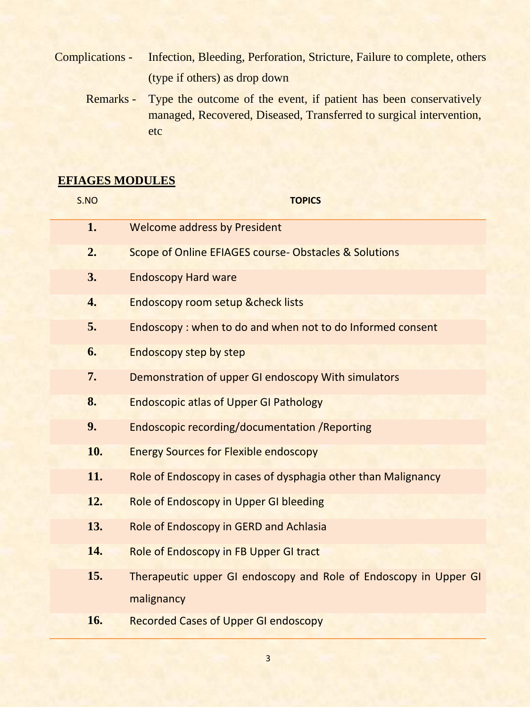Complications - Infection, Bleeding, Perforation, Stricture, Failure to complete, others (type if others) as drop down

Remarks - Type the outcome of the event, if patient has been conservatively managed, Recovered, Diseased, Transferred to surgical intervention, etc

## **EFIAGES MODULES**

| S.NO | <b>TOPICS</b>                                                    |
|------|------------------------------------------------------------------|
| 1.   | <b>Welcome address by President</b>                              |
| 2.   | Scope of Online EFIAGES course-Obstacles & Solutions             |
| 3.   | <b>Endoscopy Hard ware</b>                                       |
| 4.   | <b>Endoscopy room setup &amp; check lists</b>                    |
| 5.   | Endoscopy: when to do and when not to do Informed consent        |
| 6.   | <b>Endoscopy step by step</b>                                    |
| 7.   | Demonstration of upper GI endoscopy With simulators              |
| 8.   | <b>Endoscopic atlas of Upper GI Pathology</b>                    |
| 9.   | <b>Endoscopic recording/documentation / Reporting</b>            |
| 10.  | <b>Energy Sources for Flexible endoscopy</b>                     |
| 11.  | Role of Endoscopy in cases of dysphagia other than Malignancy    |
| 12.  | Role of Endoscopy in Upper GI bleeding                           |
| 13.  | Role of Endoscopy in GERD and Achlasia                           |
| 14.  | Role of Endoscopy in FB Upper GI tract                           |
| 15.  | Therapeutic upper GI endoscopy and Role of Endoscopy in Upper GI |
|      | malignancy                                                       |
| 16.  | <b>Recorded Cases of Upper GI endoscopy</b>                      |